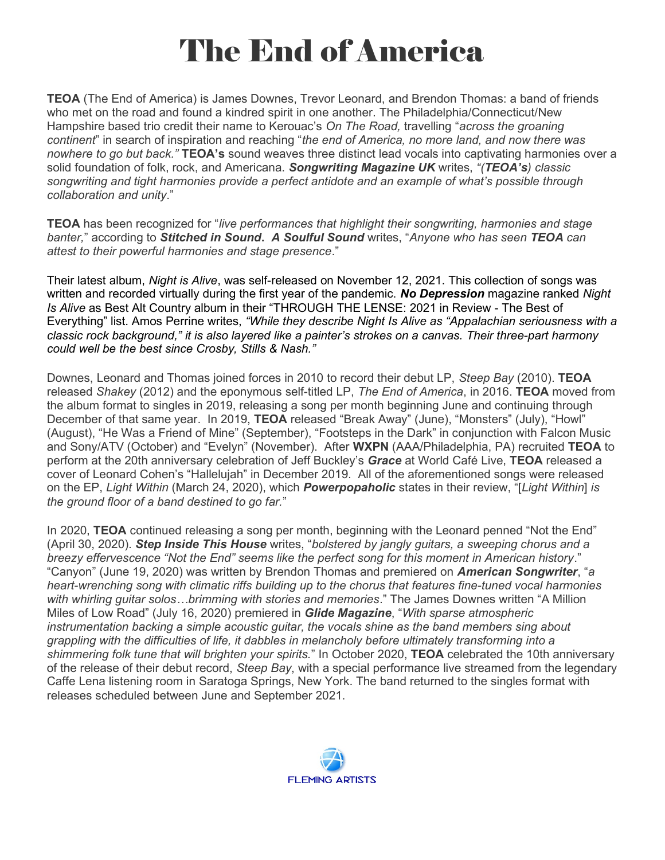## The End of America

TEOA (The End of America) is James Downes, Trevor Leonard, and Brendon Thomas: a band of friends who met on the road and found a kindred spirit in one another. The Philadelphia/Connecticut/New Hampshire based trio credit their name to Kerouac's On The Road, travelling "across the groaning continent" in search of inspiration and reaching "the end of America, no more land, and now there was nowhere to go but back." TEOA's sound weaves three distinct lead vocals into captivating harmonies over a solid foundation of folk, rock, and Americana. Songwriting Magazine UK writes, "(TEOA's) classic songwriting and tight harmonies provide a perfect antidote and an example of what's possible through collaboration and unity."

**TEOA** has been recognized for "live performances that highlight their songwriting, harmonies and stage banter," according to **Stitched in Sound. A Soulful Sound** writes, "Anyone who has seen TEOA can attest to their powerful harmonies and stage presence."

Their latest album, Night is Alive, was self-released on November 12, 2021. This collection of songs was written and recorded virtually during the first year of the pandemic. No Depression magazine ranked Night Is Alive as Best Alt Country album in their "THROUGH THE LENSE: 2021 in Review - The Best of Everything" list. Amos Perrine writes, "While they describe Night Is Alive as "Appalachian seriousness with a classic rock background," it is also layered like a painter's strokes on a canvas. Their three-part harmony could well be the best since Crosby, Stills & Nash."

Downes, Leonard and Thomas joined forces in 2010 to record their debut LP, Steep Bay (2010). TEOA released Shakey (2012) and the eponymous self-titled LP, The End of America, in 2016. TEOA moved from the album format to singles in 2019, releasing a song per month beginning June and continuing through December of that same year. In 2019, TEOA released "Break Away" (June), "Monsters" (July), "Howl" (August), "He Was a Friend of Mine" (September), "Footsteps in the Dark" in conjunction with Falcon Music and Sony/ATV (October) and "Evelyn" (November). After WXPN (AAA/Philadelphia, PA) recruited TEOA to perform at the 20th anniversary celebration of Jeff Buckley's Grace at World Café Live, TEOA released a cover of Leonard Cohen's "Hallelujah" in December 2019. All of the aforementioned songs were released on the EP, Light Within (March 24, 2020), which **Powerpopaholic** states in their review, "[Light Within] is the ground floor of a band destined to go far."

In 2020, TEOA continued releasing a song per month, beginning with the Leonard penned "Not the End" (April 30, 2020). Step Inside This House writes, "bolstered by jangly guitars, a sweeping chorus and a breezy effervescence "Not the End" seems like the perfect song for this moment in American history." "Canyon" (June 19, 2020) was written by Brendon Thomas and premiered on American Songwriter, "a heart-wrenching song with climatic riffs building up to the chorus that features fine-tuned vocal harmonies with whirling guitar solos…brimming with stories and memories." The James Downes written "A Million Miles of Low Road" (July 16, 2020) premiered in **Glide Magazine**, "With sparse atmospheric instrumentation backing a simple acoustic guitar, the vocals shine as the band members sing about grappling with the difficulties of life, it dabbles in melancholy before ultimately transforming into a shimmering folk tune that will brighten your spirits." In October 2020, TEOA celebrated the 10th anniversary of the release of their debut record, Steep Bay, with a special performance live streamed from the legendary Caffe Lena listening room in Saratoga Springs, New York. The band returned to the singles format with releases scheduled between June and September 2021.